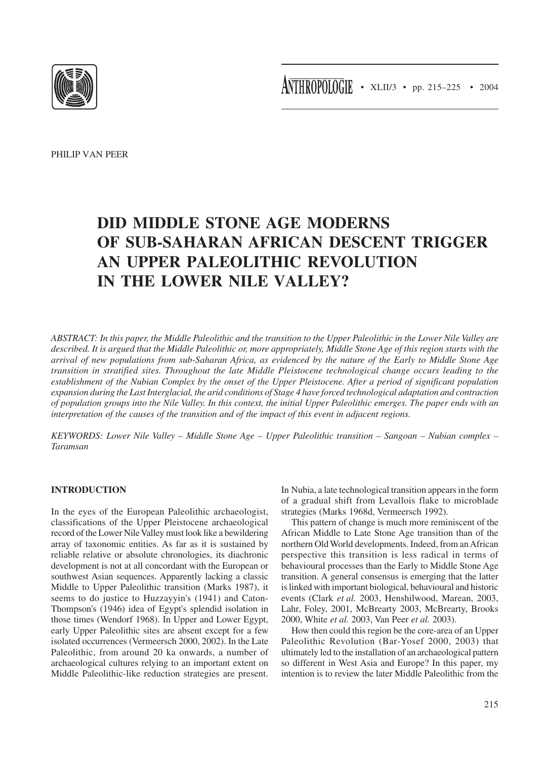ANTHROPOLOGIE • XLII/3 • pp. 215-225 • 2004



PHILIP VAN PEER

# **DID MIDDLE STONE AGE MODERNS OF SUB-SAHARAN AFRICAN DESCENT TRIGGER AN UPPER PALEOLITHIC REVOLUTION IN THE LOWER NILE VALLEY?**

*ABSTRACT: In this paper, the Middle Paleolithic and the transition to the Upper Paleolithic in the Lower Nile Valley are described. It is argued that the Middle Paleolithic or, more appropriately, Middle Stone Age of this region starts with the arrival of new populations from sub-Saharan Africa, as evidenced by the nature of the Early to Middle Stone Age transition in stratified sites. Throughout the late Middle Pleistocene technological change occurs leading to the establishment of the Nubian Complex by the onset of the Upper Pleistocene. After a period of significant population expansion during the Last Interglacial, the arid conditions of Stage 4 have forced technological adaptation and contraction of population groups into the Nile Valley. In this context, the initial Upper Paleolithic emerges. The paper ends with an interpretation of the causes of the transition and of the impact of this event in adjacent regions.*

*KEYWORDS: Lower Nile Valley – Middle Stone Age – Upper Paleolithic transition – Sangoan – Nubian complex – Taramsan*

## **INTRODUCTION**

In the eyes of the European Paleolithic archaeologist, classifications of the Upper Pleistocene archaeological record of the Lower Nile Valley must look like a bewildering array of taxonomic entities. As far as it is sustained by reliable relative or absolute chronologies, its diachronic development is not at all concordant with the European or southwest Asian sequences. Apparently lacking a classic Middle to Upper Paleolithic transition (Marks 1987), it seems to do justice to Huzzayyin's (1941) and Caton-Thompson's (1946) idea of Egypt's splendid isolation in those times (Wendorf 1968). In Upper and Lower Egypt, early Upper Paleolithic sites are absent except for a few isolated occurrences (Vermeersch 2000, 2002). In the Late Paleolithic, from around 20 ka onwards, a number of archaeological cultures relying to an important extent on Middle Paleolithic-like reduction strategies are present. In Nubia, a late technological transition appears in the form of a gradual shift from Levallois flake to microblade strategies (Marks 1968d, Vermeersch 1992).

This pattern of change is much more reminiscent of the African Middle to Late Stone Age transition than of the northern Old World developments. Indeed, from an African perspective this transition is less radical in terms of behavioural processes than the Early to Middle Stone Age transition. A general consensus is emerging that the latter is linked with important biological, behavioural and historic events (Clark *et al.* 2003, Henshilwood, Marean, 2003, Lahr, Foley, 2001, McBrearty 2003, McBrearty, Brooks 2000, White *et al.* 2003, Van Peer *et al.* 2003).

How then could this region be the core-area of an Upper Paleolithic Revolution (Bar-Yosef 2000, 2003) that ultimately led to the installation of an archaeological pattern so different in West Asia and Europe? In this paper, my intention is to review the later Middle Paleolithic from the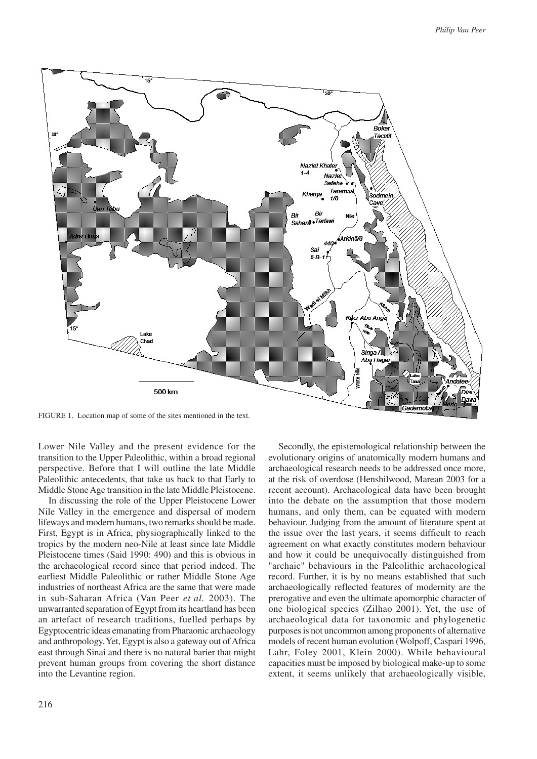

FIGURE 1. Location map of some of the sites mentioned in the text.

Lower Nile Valley and the present evidence for the transition to the Upper Paleolithic, within a broad regional perspective. Before that I will outline the late Middle Paleolithic antecedents, that take us back to that Early to Middle Stone Age transition in the late Middle Pleistocene.

In discussing the role of the Upper Pleistocene Lower Nile Valley in the emergence and dispersal of modern lifeways and modern humans, two remarks should be made. First, Egypt is in Africa, physiographically linked to the tropics by the modern neo-Nile at least since late Middle Pleistocene times (Said 1990: 490) and this is obvious in the archaeological record since that period indeed. The earliest Middle Paleolithic or rather Middle Stone Age industries of northeast Africa are the same that were made in sub-Saharan Africa (Van Peer *et al.* 2003). The unwarranted separation of Egypt from its heartland has been an artefact of research traditions, fuelled perhaps by Egyptocentric ideas emanating from Pharaonic archaeology and anthropology. Yet, Egypt is also a gateway out of Africa east through Sinai and there is no natural barier that might prevent human groups from covering the short distance into the Levantine region.

Secondly, the epistemological relationship between the evolutionary origins of anatomically modern humans and archaeological research needs to be addressed once more, at the risk of overdose (Henshilwood, Marean 2003 for a recent account). Archaeological data have been brought into the debate on the assumption that those modern humans, and only them, can be equated with modern behaviour. Judging from the amount of literature spent at the issue over the last years, it seems difficult to reach agreement on what exactly constitutes modern behaviour and how it could be unequivocally distinguished from "archaic" behaviours in the Paleolithic archaeological record. Further, it is by no means established that such archaeologically reflected features of modernity are the prerogative and even the ultimate apomorphic character of one biological species (Zilhao 2001). Yet, the use of archaeological data for taxonomic and phylogenetic purposes is not uncommon among proponents of alternative models of recent human evolution (Wolpoff, Caspari 1996, Lahr, Foley 2001, Klein 2000). While behavioural capacities must be imposed by biological make-up to some extent, it seems unlikely that archaeologically visible,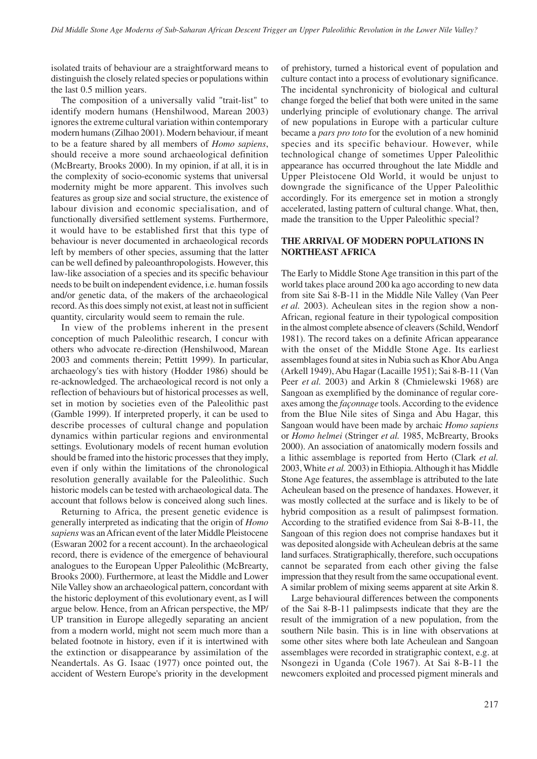isolated traits of behaviour are a straightforward means to distinguish the closely related species or populations within the last 0.5 million years.

The composition of a universally valid "trait-list" to identify modern humans (Henshilwood, Marean 2003) ignores the extreme cultural variation within contemporary modern humans (Zilhao 2001). Modern behaviour, if meant to be a feature shared by all members of *Homo sapiens*, should receive a more sound archaeological definition (McBrearty, Brooks 2000). In my opinion, if at all, it is in the complexity of socio-economic systems that universal modernity might be more apparent. This involves such features as group size and social structure, the existence of labour division and economic specialisation, and of functionally diversified settlement systems. Furthermore, it would have to be established first that this type of behaviour is never documented in archaeological records left by members of other species, assuming that the latter can be well defined by paleoanthropologists. However, this law-like association of a species and its specific behaviour needs to be built on independent evidence, i.e. human fossils and/or genetic data, of the makers of the archaeological record. As this does simply not exist, at least not in sufficient quantity, circularity would seem to remain the rule.

In view of the problems inherent in the present conception of much Paleolithic research, I concur with others who advocate re-direction (Henshilwood, Marean 2003 and comments therein; Pettitt 1999). In particular, archaeology's ties with history (Hodder 1986) should be re-acknowledged. The archaeological record is not only a reflection of behaviours but of historical processes as well, set in motion by societies even of the Paleolithic past (Gamble 1999). If interpreted properly, it can be used to describe processes of cultural change and population dynamics within particular regions and environmental settings. Evolutionary models of recent human evolution should be framed into the historic processes that they imply, even if only within the limitations of the chronological resolution generally available for the Paleolithic. Such historic models can be tested with archaeological data. The account that follows below is conceived along such lines.

Returning to Africa, the present genetic evidence is generally interpreted as indicating that the origin of *Homo sapiens* was an African event of the later Middle Pleistocene (Eswaran 2002 for a recent account). In the archaeological record, there is evidence of the emergence of behavioural analogues to the European Upper Paleolithic (McBrearty, Brooks 2000). Furthermore, at least the Middle and Lower Nile Valley show an archaeological pattern, concordant with the historic deployment of this evolutionary event, as I will argue below. Hence, from an African perspective, the MP/ UP transition in Europe allegedly separating an ancient from a modern world, might not seem much more than a belated footnote in history, even if it is intertwined with the extinction or disappearance by assimilation of the Neandertals. As G. Isaac (1977) once pointed out, the accident of Western Europe's priority in the development of prehistory, turned a historical event of population and culture contact into a process of evolutionary significance. The incidental synchronicity of biological and cultural change forged the belief that both were united in the same underlying principle of evolutionary change. The arrival of new populations in Europe with a particular culture became a *pars pro toto* for the evolution of a new hominid species and its specific behaviour. However, while technological change of sometimes Upper Paleolithic appearance has occurred throughout the late Middle and Upper Pleistocene Old World, it would be unjust to downgrade the significance of the Upper Paleolithic accordingly. For its emergence set in motion a strongly accelerated, lasting pattern of cultural change. What, then, made the transition to the Upper Paleolithic special?

## **THE ARRIVAL OF MODERN POPULATIONS IN NORTHEAST AFRICA**

The Early to Middle Stone Age transition in this part of the world takes place around 200 ka ago according to new data from site Sai 8-B-11 in the Middle Nile Valley (Van Peer *et al.* 2003). Acheulean sites in the region show a non-African, regional feature in their typological composition in the almost complete absence of cleavers (Schild, Wendorf 1981). The record takes on a definite African appearance with the onset of the Middle Stone Age. Its earliest assemblages found at sites in Nubia such as Khor Abu Anga (Arkell 1949), Abu Hagar (Lacaille 1951); Sai 8-B-11 (Van Peer *et al.* 2003) and Arkin 8 (Chmielewski 1968) are Sangoan as exemplified by the dominance of regular coreaxes among the *façonnage* tools. According to the evidence from the Blue Nile sites of Singa and Abu Hagar, this Sangoan would have been made by archaic *Homo sapiens* or *Homo helmei* (Stringer *et al.* 1985, McBrearty, Brooks 2000). An association of anatomically modern fossils and a lithic assemblage is reported from Herto (Clark *et al.* 2003, White *et al.* 2003) in Ethiopia. Although it has Middle Stone Age features, the assemblage is attributed to the late Acheulean based on the presence of handaxes. However, it was mostly collected at the surface and is likely to be of hybrid composition as a result of palimpsest formation. According to the stratified evidence from Sai 8-B-11, the Sangoan of this region does not comprise handaxes but it was deposited alongside with Acheulean debris at the same land surfaces. Stratigraphically, therefore, such occupations cannot be separated from each other giving the false impression that they result from the same occupational event. A similar problem of mixing seems apparent at site Arkin 8.

Large behavioural differences between the components of the Sai 8-B-11 palimpsests indicate that they are the result of the immigration of a new population, from the southern Nile basin. This is in line with observations at some other sites where both late Acheulean and Sangoan assemblages were recorded in stratigraphic context, e.g. at Nsongezi in Uganda (Cole 1967). At Sai 8-B-11 the newcomers exploited and processed pigment minerals and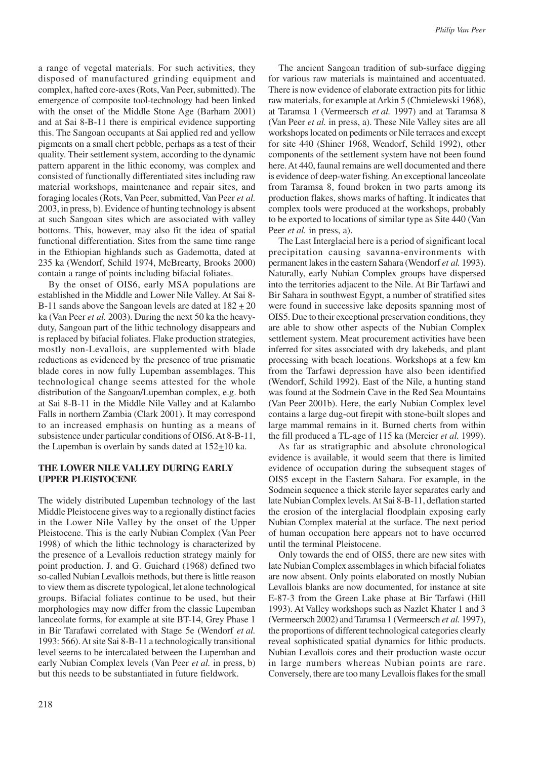a range of vegetal materials. For such activities, they disposed of manufactured grinding equipment and complex, hafted core-axes (Rots, Van Peer, submitted). The emergence of composite tool-technology had been linked with the onset of the Middle Stone Age (Barham 2001) and at Sai 8-B-11 there is empirical evidence supporting this. The Sangoan occupants at Sai applied red and yellow pigments on a small chert pebble, perhaps as a test of their quality. Their settlement system, according to the dynamic pattern apparent in the lithic economy, was complex and consisted of functionally differentiated sites including raw material workshops, maintenance and repair sites, and foraging locales (Rots, Van Peer, submitted, Van Peer *et al.* 2003, in press, b). Evidence of hunting technology is absent at such Sangoan sites which are associated with valley bottoms. This, however, may also fit the idea of spatial functional differentiation. Sites from the same time range in the Ethiopian highlands such as Gademotta, dated at 235 ka (Wendorf, Schild 1974, McBrearty, Brooks 2000) contain a range of points including bifacial foliates.

By the onset of OIS6, early MSA populations are established in the Middle and Lower Nile Valley. At Sai 8- B-11 sands above the Sangoan levels are dated at 182 + 20 ka (Van Peer *et al.* 2003). During the next 50 ka the heavyduty, Sangoan part of the lithic technology disappears and is replaced by bifacial foliates. Flake production strategies, mostly non-Levallois, are supplemented with blade reductions as evidenced by the presence of true prismatic blade cores in now fully Lupemban assemblages. This technological change seems attested for the whole distribution of the Sangoan/Lupemban complex, e.g. both at Sai 8-B-11 in the Middle Nile Valley and at Kalambo Falls in northern Zambia (Clark 2001). It may correspond to an increased emphasis on hunting as a means of subsistence under particular conditions of OIS6. At 8-B-11, the Lupemban is overlain by sands dated at  $152\pm10$  ka.

#### **THE LOWER NILE VALLEY DURING EARLY UPPER PLEISTOCENE**

The widely distributed Lupemban technology of the last Middle Pleistocene gives way to a regionally distinct facies in the Lower Nile Valley by the onset of the Upper Pleistocene. This is the early Nubian Complex (Van Peer 1998) of which the lithic technology is characterized by the presence of a Levallois reduction strategy mainly for point production. J. and G. Guichard (1968) defined two so-called Nubian Levallois methods, but there is little reason to view them as discrete typological, let alone technological groups. Bifacial foliates continue to be used, but their morphologies may now differ from the classic Lupemban lanceolate forms, for example at site BT-14, Grey Phase 1 in Bir Tarafawi correlated with Stage 5e (Wendorf *et al.* 1993: 566). At site Sai 8-B-11 a technologically transitional level seems to be intercalated between the Lupemban and early Nubian Complex levels (Van Peer *et al.* in press, b) but this needs to be substantiated in future fieldwork.

The ancient Sangoan tradition of sub-surface digging for various raw materials is maintained and accentuated. There is now evidence of elaborate extraction pits for lithic raw materials, for example at Arkin 5 (Chmielewski 1968), at Taramsa 1 (Vermeersch *et al.* 1997) and at Taramsa 8 (Van Peer *et al.* in press, a). These Nile Valley sites are all workshops located on pediments or Nile terraces and except for site 440 (Shiner 1968, Wendorf, Schild 1992), other components of the settlement system have not been found here. At 440, faunal remains are well documented and there is evidence of deep-water fishing. An exceptional lanceolate from Taramsa 8, found broken in two parts among its production flakes, shows marks of hafting. It indicates that complex tools were produced at the workshops, probably to be exported to locations of similar type as Site 440 (Van Peer *et al.* in press, a).

The Last Interglacial here is a period of significant local precipitation causing savanna-environments with permanent lakes in the eastern Sahara (Wendorf *et al.* 1993). Naturally, early Nubian Complex groups have dispersed into the territories adjacent to the Nile. At Bir Tarfawi and Bir Sahara in southwest Egypt, a number of stratified sites were found in successive lake deposits spanning most of OIS5. Due to their exceptional preservation conditions, they are able to show other aspects of the Nubian Complex settlement system. Meat procurement activities have been inferred for sites associated with dry lakebeds, and plant processing with beach locations. Workshops at a few km from the Tarfawi depression have also been identified (Wendorf, Schild 1992). East of the Nile, a hunting stand was found at the Sodmein Cave in the Red Sea Mountains (Van Peer 2001b). Here, the early Nubian Complex level contains a large dug-out firepit with stone-built slopes and large mammal remains in it. Burned cherts from within the fill produced a TL-age of 115 ka (Mercier *et al.* 1999).

As far as stratigraphic and absolute chronological evidence is available, it would seem that there is limited evidence of occupation during the subsequent stages of OIS5 except in the Eastern Sahara. For example, in the Sodmein sequence a thick sterile layer separates early and late Nubian Complex levels. At Sai 8-B-11, deflation started the erosion of the interglacial floodplain exposing early Nubian Complex material at the surface. The next period of human occupation here appears not to have occurred until the terminal Pleistocene.

Only towards the end of OIS5, there are new sites with late Nubian Complex assemblages in which bifacial foliates are now absent. Only points elaborated on mostly Nubian Levallois blanks are now documented, for instance at site E-87-3 from the Green Lake phase at Bir Tarfawi (Hill 1993). At Valley workshops such as Nazlet Khater 1 and 3 (Vermeersch 2002) and Taramsa 1 (Vermeersch *et al.* 1997), the proportions of different technological categories clearly reveal sophisticated spatial dynamics for lithic products. Nubian Levallois cores and their production waste occur in large numbers whereas Nubian points are rare. Conversely, there are too many Levallois flakes for the small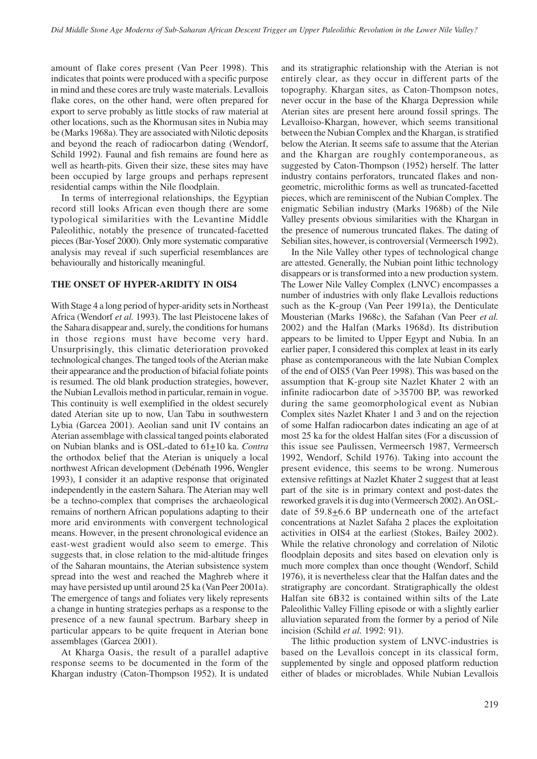amount of flake cores present (Van Peer 1998). This indicates that points were produced with a specific purpose in mind and these cores are truly waste materials. Levallois flake cores, on the other hand, were often prepared for export to serve probably as little stocks of raw material at other locations, such as the Khormusan sites in Nubia may be (Marks 1968a). They are associated with Nilotic deposits and beyond the reach of radiocarbon dating (Wendorf, Schild 1992). Faunal and fish remains are found here as well as hearth-pits. Given their size, these sites may have been occupied by large groups and perhaps represent residential camps within the Nile floodplain.

In terms of interregional relationships, the Egyptian record still looks African even though there are some typological similarities with the Levantine Middle Paleolithic, notably the presence of truncated-facetted pieces (Bar-Yosef 2000). Only more systematic comparative analysis may reveal if such superficial resemblances are behaviourally and historically meaningful.

## **THE ONSET OF HYPER-ARIDITY IN OIS4**

With Stage 4 a long period of hyper-aridity sets in Northeast Africa (Wendorf *et al.* 1993). The last Pleistocene lakes of the Sahara disappear and, surely, the conditions for humans in those regions must have become very hard. Unsurprisingly, this climatic deterioration provoked technological changes. The tanged tools of the Aterian make their appearance and the production of bifacial foliate points is resumed. The old blank production strategies, however, the Nubian Levallois method in particular, remain in vogue. This continuity is well exemplified in the oldest securely dated Aterian site up to now, Uan Tabu in southwestern Lybia (Garcea 2001). Aeolian sand unit IV contains an Aterian assemblage with classical tanged points elaborated on Nubian blanks and is OSL-dated to 61+10 ka. *Contra* the orthodox belief that the Aterian is uniquely a local northwest African development (Debénath 1996, Wengler 1993), I consider it an adaptive response that originated independently in the eastern Sahara. The Aterian may well be a techno-complex that comprises the archaeological remains of northern African populations adapting to their more arid environments with convergent technological means. However, in the present chronological evidence an east-west gradient would also seem to emerge. This suggests that, in close relation to the mid-altitude fringes of the Saharan mountains, the Aterian subsistence system spread into the west and reached the Maghreb where it may have persisted up until around 25 ka (Van Peer 2001a). The emergence of tangs and foliates very likely represents a change in hunting strategies perhaps as a response to the presence of a new faunal spectrum. Barbary sheep in particular appears to be quite frequent in Aterian bone assemblages (Garcea 2001).

At Kharga Oasis, the result of a parallel adaptive response seems to be documented in the form of the Khargan industry (Caton-Thompson 1952). It is undated and its stratigraphic relationship with the Aterian is not entirely clear, as they occur in different parts of the topography. Khargan sites, as Caton-Thompson notes, never occur in the base of the Kharga Depression while Aterian sites are present here around fossil springs. The Levalloiso-Khargan, however, which seems transitional between the Nubian Complex and the Khargan, is stratified below the Aterian. It seems safe to assume that the Aterian and the Khargan are roughly contemporaneous, as suggested by Caton-Thompson (1952) herself. The latter industry contains perforators, truncated flakes and nongeometric, microlithic forms as well as truncated-facetted pieces, which are reminiscent of the Nubian Complex. The enigmatic Sebilian industry (Marks 1968b) of the Nile Valley presents obvious similarities with the Khargan in the presence of numerous truncated flakes. The dating of Sebilian sites, however, is controversial (Vermeersch 1992).

In the Nile Valley other types of technological change are attested. Generally, the Nubian point lithic technology disappears or is transformed into a new production system. The Lower Nile Valley Complex (LNVC) encompasses a number of industries with only flake Levallois reductions such as the K-group (Van Peer 1991a), the Denticulate Mousterian (Marks 1968c), the Safahan (Van Peer *et al.* 2002) and the Halfan (Marks 1968d). Its distribution appears to be limited to Upper Egypt and Nubia. In an earlier paper, I considered this complex at least in its early phase as contemporaneous with the late Nubian Complex of the end of OIS5 (Van Peer 1998). This was based on the assumption that K-group site Nazlet Khater 2 with an infinite radiocarbon date of >35700 BP, was reworked during the same geomorphological event as Nubian Complex sites Nazlet Khater 1 and 3 and on the rejection of some Halfan radiocarbon dates indicating an age of at most 25 ka for the oldest Halfan sites (For a discussion of this issue see Paulissen, Vermeersch 1987, Vermeersch 1992, Wendorf, Schild 1976). Taking into account the present evidence, this seems to be wrong. Numerous extensive refittings at Nazlet Khater 2 suggest that at least part of the site is in primary context and post-dates the reworked gravels it is dug into (Vermeersch 2002). An OSLdate of  $59.8 \pm 6.6$  BP underneath one of the artefact concentrations at Nazlet Safaha 2 places the exploitation activities in OIS4 at the earliest (Stokes, Bailey 2002). While the relative chronology and correlation of Nilotic floodplain deposits and sites based on elevation only is much more complex than once thought (Wendorf, Schild 1976), it is nevertheless clear that the Halfan dates and the stratigraphy are concordant. Stratigraphically the oldest Halfan site 6B32 is contained within silts of the Late Paleolithic Valley Filling episode or with a slightly earlier alluviation separated from the former by a period of Nile incision (Schild *et al.* 1992: 91).

The lithic production system of LNVC-industries is based on the Levallois concept in its classical form, supplemented by single and opposed platform reduction either of blades or microblades. While Nubian Levallois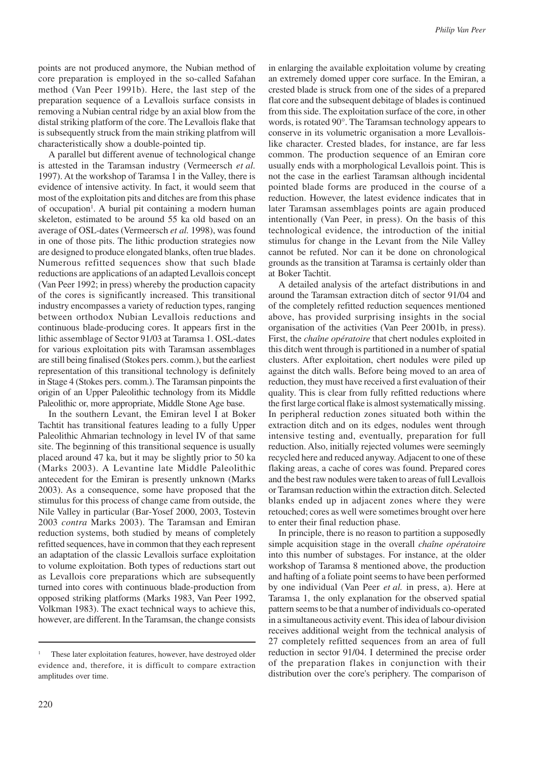points are not produced anymore, the Nubian method of core preparation is employed in the so-called Safahan method (Van Peer 1991b). Here, the last step of the preparation sequence of a Levallois surface consists in removing a Nubian central ridge by an axial blow from the distal striking platform of the core. The Levallois flake that is subsequently struck from the main striking platfrom will characteristically show a double-pointed tip.

A parallel but different avenue of technological change is attested in the Taramsan industry (Vermeersch *et al.* 1997). At the workshop of Taramsa 1 in the Valley, there is evidence of intensive activity. In fact, it would seem that most of the exploitation pits and ditches are from this phase of occupation<sup>1</sup>. A burial pit containing a modern human skeleton, estimated to be around 55 ka old based on an average of OSL-dates (Vermeersch *et al.* 1998), was found in one of those pits. The lithic production strategies now are designed to produce elongated blanks, often true blades. Numerous refitted sequences show that such blade reductions are applications of an adapted Levallois concept (Van Peer 1992; in press) whereby the production capacity of the cores is significantly increased. This transitional industry encompasses a variety of reduction types, ranging between orthodox Nubian Levallois reductions and continuous blade-producing cores. It appears first in the lithic assemblage of Sector 91/03 at Taramsa 1. OSL-dates for various exploitation pits with Taramsan assemblages are still being finalised (Stokes pers. comm.), but the earliest representation of this transitional technology is definitely in Stage 4 (Stokes pers. comm.). The Taramsan pinpoints the origin of an Upper Paleolithic technology from its Middle Paleolithic or, more appropriate, Middle Stone Age base.

In the southern Levant, the Emiran level I at Boker Tachtit has transitional features leading to a fully Upper Paleolithic Ahmarian technology in level IV of that same site. The beginning of this transitional sequence is usually placed around 47 ka, but it may be slightly prior to 50 ka (Marks 2003). A Levantine late Middle Paleolithic antecedent for the Emiran is presently unknown (Marks 2003). As a consequence, some have proposed that the stimulus for this process of change came from outside, the Nile Valley in particular (Bar-Yosef 2000, 2003, Tostevin 2003 *contra* Marks 2003). The Taramsan and Emiran reduction systems, both studied by means of completely refitted sequences, have in common that they each represent an adaptation of the classic Levallois surface exploitation to volume exploitation. Both types of reductions start out as Levallois core preparations which are subsequently turned into cores with continuous blade-production from opposed striking platforms (Marks 1983, Van Peer 1992, Volkman 1983). The exact technical ways to achieve this, however, are different. In the Taramsan, the change consists

in enlarging the available exploitation volume by creating an extremely domed upper core surface. In the Emiran, a crested blade is struck from one of the sides of a prepared flat core and the subsequent debitage of blades is continued from this side. The exploitation surface of the core, in other words, is rotated 90°. The Taramsan technology appears to conserve in its volumetric organisation a more Levalloislike character. Crested blades, for instance, are far less common. The production sequence of an Emiran core usually ends with a morphological Levallois point. This is not the case in the earliest Taramsan although incidental pointed blade forms are produced in the course of a reduction. However, the latest evidence indicates that in later Taramsan assemblages points are again produced intentionally (Van Peer, in press). On the basis of this technological evidence, the introduction of the initial stimulus for change in the Levant from the Nile Valley cannot be refuted. Nor can it be done on chronological grounds as the transition at Taramsa is certainly older than at Boker Tachtit.

A detailed analysis of the artefact distributions in and around the Taramsan extraction ditch of sector 91/04 and of the completely refitted reduction sequences mentioned above, has provided surprising insights in the social organisation of the activities (Van Peer 2001b, in press). First, the *chaîne opératoire* that chert nodules exploited in this ditch went through is partitioned in a number of spatial clusters. After exploitation, chert nodules were piled up against the ditch walls. Before being moved to an area of reduction, they must have received a first evaluation of their quality. This is clear from fully refitted reductions where the first large cortical flake is almost systematically missing. In peripheral reduction zones situated both within the extraction ditch and on its edges, nodules went through intensive testing and, eventually, preparation for full reduction. Also, initially rejected volumes were seemingly recycled here and reduced anyway. Adjacent to one of these flaking areas, a cache of cores was found. Prepared cores and the best raw nodules were taken to areas of full Levallois or Taramsan reduction within the extraction ditch. Selected blanks ended up in adjacent zones where they were retouched; cores as well were sometimes brought over here to enter their final reduction phase.

In principle, there is no reason to partition a supposedly simple acquisition stage in the overall *chaîne opératoire* into this number of substages. For instance, at the older workshop of Taramsa 8 mentioned above, the production and hafting of a foliate point seems to have been performed by one individual (Van Peer *et al.* in press, a). Here at Taramsa 1, the only explanation for the observed spatial pattern seems to be that a number of individuals co-operated in a simultaneous activity event. This idea of labour division receives additional weight from the technical analysis of 27 completely refitted sequences from an area of full reduction in sector 91/04. I determined the precise order of the preparation flakes in conjunction with their distribution over the core's periphery. The comparison of

These later exploitation features, however, have destroyed older evidence and, therefore, it is difficult to compare extraction amplitudes over time.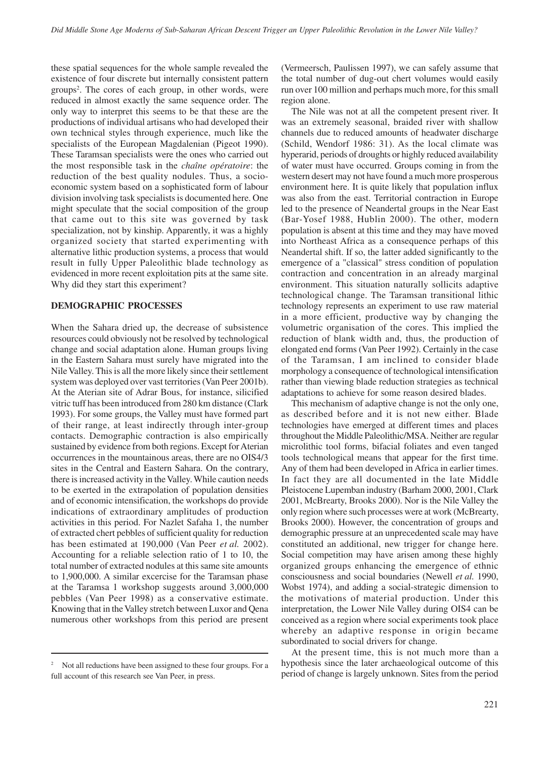these spatial sequences for the whole sample revealed the existence of four discrete but internally consistent pattern groups2 . The cores of each group, in other words, were reduced in almost exactly the same sequence order. The only way to interpret this seems to be that these are the productions of individual artisans who had developed their own technical styles through experience, much like the specialists of the European Magdalenian (Pigeot 1990). These Taramsan specialists were the ones who carried out the most responsible task in the *chaîne opératoire*: the reduction of the best quality nodules. Thus, a socioeconomic system based on a sophisticated form of labour division involving task specialists is documented here. One might speculate that the social composition of the group that came out to this site was governed by task specialization, not by kinship. Apparently, it was a highly organized society that started experimenting with alternative lithic production systems, a process that would result in fully Upper Paleolithic blade technology as evidenced in more recent exploitation pits at the same site. Why did they start this experiment?

#### **DEMOGRAPHIC PROCESSES**

When the Sahara dried up, the decrease of subsistence resources could obviously not be resolved by technological change and social adaptation alone. Human groups living in the Eastern Sahara must surely have migrated into the Nile Valley. This is all the more likely since their settlement system was deployed over vast territories (Van Peer 2001b). At the Aterian site of Adrar Bous, for instance, silicified vitric tuff has been introduced from 280 km distance (Clark 1993). For some groups, the Valley must have formed part of their range, at least indirectly through inter-group contacts. Demographic contraction is also empirically sustained by evidence from both regions. Except for Aterian occurrences in the mountainous areas, there are no OIS4/3 sites in the Central and Eastern Sahara. On the contrary, there is increased activity in the Valley. While caution needs to be exerted in the extrapolation of population densities and of economic intensification, the workshops do provide indications of extraordinary amplitudes of production activities in this period. For Nazlet Safaha 1, the number of extracted chert pebbles of sufficient quality for reduction has been estimated at 190,000 (Van Peer *et al.* 2002). Accounting for a reliable selection ratio of 1 to 10, the total number of extracted nodules at this same site amounts to 1,900,000. A similar excercise for the Taramsan phase at the Taramsa 1 workshop suggests around 3,000,000 pebbles (Van Peer 1998) as a conservative estimate. Knowing that in the Valley stretch between Luxor and Qena numerous other workshops from this period are present (Vermeersch, Paulissen 1997), we can safely assume that the total number of dug-out chert volumes would easily run over 100 million and perhaps much more, for this small region alone.

The Nile was not at all the competent present river. It was an extremely seasonal, braided river with shallow channels due to reduced amounts of headwater discharge (Schild, Wendorf 1986: 31). As the local climate was hyperarid, periods of droughts or highly reduced availability of water must have occurred. Groups coming in from the western desert may not have found a much more prosperous environment here. It is quite likely that population influx was also from the east. Territorial contraction in Europe led to the presence of Neandertal groups in the Near East (Bar-Yosef 1988, Hublin 2000). The other, modern population is absent at this time and they may have moved into Northeast Africa as a consequence perhaps of this Neandertal shift. If so, the latter added significantly to the emergence of a "classical" stress condition of population contraction and concentration in an already marginal environment. This situation naturally sollicits adaptive technological change. The Taramsan transitional lithic technology represents an experiment to use raw material in a more efficient, productive way by changing the volumetric organisation of the cores. This implied the reduction of blank width and, thus, the production of elongated end forms (Van Peer 1992). Certainly in the case of the Taramsan, I am inclined to consider blade morphology a consequence of technological intensification rather than viewing blade reduction strategies as technical adaptations to achieve for some reason desired blades.

This mechanism of adaptive change is not the only one, as described before and it is not new either. Blade technologies have emerged at different times and places throughout the Middle Paleolithic/MSA. Neither are regular microlithic tool forms, bifacial foliates and even tanged tools technological means that appear for the first time. Any of them had been developed in Africa in earlier times. In fact they are all documented in the late Middle Pleistocene Lupemban industry (Barham 2000, 2001, Clark 2001, McBrearty, Brooks 2000). Nor is the Nile Valley the only region where such processes were at work (McBrearty, Brooks 2000). However, the concentration of groups and demographic pressure at an unprecedented scale may have constituted an additional, new trigger for change here. Social competition may have arisen among these highly organized groups enhancing the emergence of ethnic consciousness and social boundaries (Newell *et al.* 1990, Wobst 1974), and adding a social-strategic dimension to the motivations of material production. Under this interpretation, the Lower Nile Valley during OIS4 can be conceived as a region where social experiments took place whereby an adaptive response in origin became subordinated to social drivers for change.

At the present time, this is not much more than a hypothesis since the later archaeological outcome of this period of change is largely unknown. Sites from the period

Not all reductions have been assigned to these four groups. For a full account of this research see Van Peer, in press.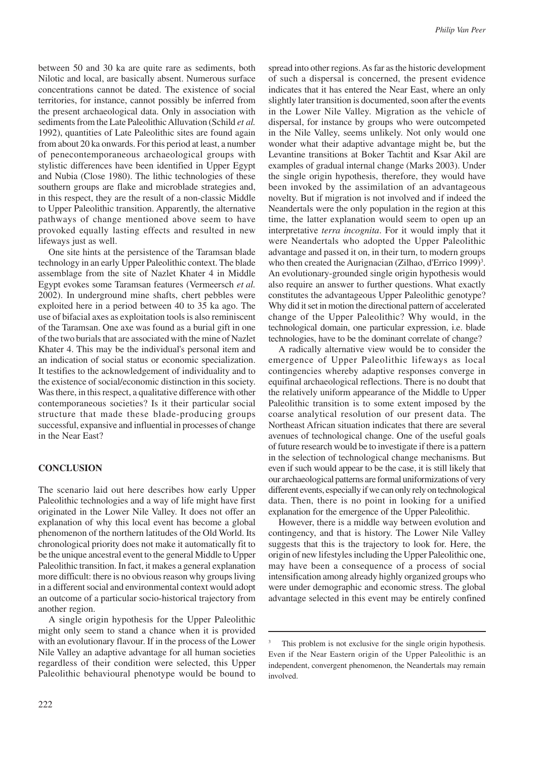between 50 and 30 ka are quite rare as sediments, both Nilotic and local, are basically absent. Numerous surface concentrations cannot be dated. The existence of social territories, for instance, cannot possibly be inferred from the present archaeological data. Only in association with sediments from the Late Paleolithic Alluvation (Schild *et al.* 1992), quantities of Late Paleolithic sites are found again from about 20 ka onwards. For this period at least, a number of penecontemporaneous archaeological groups with stylistic differences have been identified in Upper Egypt and Nubia (Close 1980). The lithic technologies of these southern groups are flake and microblade strategies and, in this respect, they are the result of a non-classic Middle to Upper Paleolithic transition. Apparently, the alternative pathways of change mentioned above seem to have provoked equally lasting effects and resulted in new lifeways just as well.

One site hints at the persistence of the Taramsan blade technology in an early Upper Paleolithic context. The blade assemblage from the site of Nazlet Khater 4 in Middle Egypt evokes some Taramsan features (Vermeersch *et al.* 2002). In underground mine shafts, chert pebbles were exploited here in a period between 40 to 35 ka ago. The use of bifacial axes as exploitation tools is also reminiscent of the Taramsan. One axe was found as a burial gift in one of the two burials that are associated with the mine of Nazlet Khater 4. This may be the individual's personal item and an indication of social status or economic specialization. It testifies to the acknowledgement of individuality and to the existence of social/economic distinction in this society. Was there, in this respect, a qualitative difference with other contemporaneous societies? Is it their particular social structure that made these blade-producing groups successful, expansive and influential in processes of change in the Near East?

#### **CONCLUSION**

The scenario laid out here describes how early Upper Paleolithic technologies and a way of life might have first originated in the Lower Nile Valley. It does not offer an explanation of why this local event has become a global phenomenon of the northern latitudes of the Old World. Its chronological priority does not make it automatically fit to be the unique ancestral event to the general Middle to Upper Paleolithic transition. In fact, it makes a general explanation more difficult: there is no obvious reason why groups living in a different social and environmental context would adopt an outcome of a particular socio-historical trajectory from another region.

A single origin hypothesis for the Upper Paleolithic might only seem to stand a chance when it is provided with an evolutionary flavour. If in the process of the Lower Nile Valley an adaptive advantage for all human societies regardless of their condition were selected, this Upper Paleolithic behavioural phenotype would be bound to

spread into other regions. As far as the historic development of such a dispersal is concerned, the present evidence indicates that it has entered the Near East, where an only slightly later transition is documented, soon after the events in the Lower Nile Valley. Migration as the vehicle of dispersal, for instance by groups who were outcompeted in the Nile Valley, seems unlikely. Not only would one wonder what their adaptive advantage might be, but the Levantine transitions at Boker Tachtit and Ksar Akil are examples of gradual internal change (Marks 2003). Under the single origin hypothesis, therefore, they would have been invoked by the assimilation of an advantageous novelty. But if migration is not involved and if indeed the Neandertals were the only population in the region at this time, the latter explanation would seem to open up an interpretative *terra incognita*. For it would imply that it were Neandertals who adopted the Upper Paleolithic advantage and passed it on, in their turn, to modern groups who then created the Aurignacian (Zilhao, d'Errico 1999)<sup>3</sup>. An evolutionary-grounded single origin hypothesis would also require an answer to further questions. What exactly constitutes the advantageous Upper Paleolithic genotype? Why did it set in motion the directional pattern of accelerated change of the Upper Paleolithic? Why would, in the technological domain, one particular expression, i.e. blade technologies, have to be the dominant correlate of change?

A radically alternative view would be to consider the emergence of Upper Paleolithic lifeways as local contingencies whereby adaptive responses converge in equifinal archaeological reflections. There is no doubt that the relatively uniform appearance of the Middle to Upper Paleolithic transition is to some extent imposed by the coarse analytical resolution of our present data. The Northeast African situation indicates that there are several avenues of technological change. One of the useful goals of future research would be to investigate if there is a pattern in the selection of technological change mechanisms. But even if such would appear to be the case, it is still likely that our archaeological patterns are formal uniformizations of very different events, especially if we can only rely on technological data. Then, there is no point in looking for a unified explanation for the emergence of the Upper Paleolithic.

However, there is a middle way between evolution and contingency, and that is history. The Lower Nile Valley suggests that this is the trajectory to look for. Here, the origin of new lifestyles including the Upper Paleolithic one, may have been a consequence of a process of social intensification among already highly organized groups who were under demographic and economic stress. The global advantage selected in this event may be entirely confined

This problem is not exclusive for the single origin hypothesis. Even if the Near Eastern origin of the Upper Paleolithic is an independent, convergent phenomenon, the Neandertals may remain involved.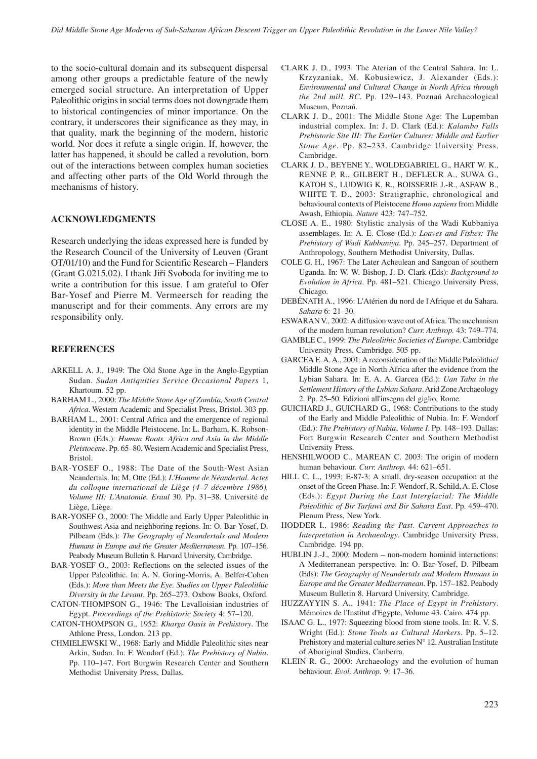to the socio-cultural domain and its subsequent dispersal among other groups a predictable feature of the newly emerged social structure. An interpretation of Upper Paleolithic origins in social terms does not downgrade them to historical contingencies of minor importance. On the contrary, it underscores their significance as they may, in that quality, mark the beginning of the modern, historic world. Nor does it refute a single origin. If, however, the latter has happened, it should be called a revolution, born out of the interactions between complex human societies and affecting other parts of the Old World through the mechanisms of history.

#### **ACKNOWLEDGMENTS**

Research underlying the ideas expressed here is funded by the Research Council of the University of Leuven (Grant OT/01/10) and the Fund for Scientific Research – Flanders (Grant G.0215.02). I thank Jiří Svoboda for inviting me to write a contribution for this issue. I am grateful to Ofer Bar-Yosef and Pierre M. Vermeersch for reading the manuscript and for their comments. Any errors are my responsibility only.

#### **REFERENCES**

- ARKELL A. J., 1949: The Old Stone Age in the Anglo-Egyptian Sudan. *Sudan Antiquities Service Occasional Papers* 1, Khartoum. 52 pp.
- BARHAM L., 2000: *The Middle Stone Age of Zambia, South Central Africa*. Western Academic and Specialist Press, Bristol. 303 pp.
- BARHAM L., 2001: Central Africa and the emergence of regional identity in the Middle Pleistocene. In: L. Barham, K. Robson-Brown (Eds.): *Human Roots. Africa and Asia in the Middle Pleistocene*. Pp. 65–80. Western Academic and Specialist Press, Bristol.
- BAR-YOSEF O., 1988: The Date of the South-West Asian Neandertals. In: M. Otte (Ed.): *L'Homme de Néandertal. Actes du colloque international de Liège (4–7 décembre 1986), Volume III: L'Anatomie. Eraul* 30. Pp. 31–38. Université de Liège, Liège.
- BAR-YOSEF O., 2000: The Middle and Early Upper Paleolithic in Southwest Asia and neighboring regions. In: O. Bar-Yosef, D. Pilbeam (Eds.): *The Geography of Neandertals and Modern Humans in Europe and the Greater Mediterranean*. Pp. 107–156. Peabody Museum Bulletin 8. Harvard University, Cambridge.
- BAR-YOSEF O., 2003: Reflections on the selected issues of the Upper Paleolithic. In: A. N. Goring-Morris, A. Belfer-Cohen (Eds.): *More than Meets the Eye. Studies on Upper Paleolithic Diversity in the Levant*. Pp. 265–273. Oxbow Books, Oxford.
- CATON-THOMPSON G., 1946: The Levalloisian industries of Egypt. *Proceedings of the Prehistoric Society* 4: 57–120.
- CATON-THOMPSON G., 1952: *Kharga Oasis in Prehistory*. The Athlone Press, London. 213 pp.
- CHMIELEWSKI W., 1968: Early and Middle Paleolithic sites near Arkin, Sudan. In: F. Wendorf (Ed.): *The Prehistory of Nubia*. Pp. 110–147. Fort Burgwin Research Center and Southern Methodist University Press, Dallas.
- CLARK J. D., 1993: The Aterian of the Central Sahara. In: L. Krzyzaniak, M. Kobusiewicz, J. Alexander (Eds.): *Environmental and Cultural Change in North Africa through the 2nd mill. BC*. Pp. 129–143. Poznań Archaeological Museum, Poznań.
- CLARK J. D., 2001: The Middle Stone Age: The Lupemban industrial complex. In: J. D. Clark (Ed.): *Kalambo Falls Prehistoric Site III: The Earlier Cultures: Middle and Earlier Stone Age*. Pp. 82–233. Cambridge University Press, Cambridge.
- CLARK J. D., BEYENE Y., WOLDEGABRIEL G., HART W. K., RENNE P. R., GILBERT H., DEFLEUR A., SUWA G., KATOH S., LUDWIG K. R., BOISSERIE J.-R., ASFAW B., WHITE T. D., 2003: Stratigraphic, chronological and behavioural contexts of Pleistocene *Homo sapiens* from Middle Awash, Ethiopia. *Nature* 423: 747–752.
- CLOSE A. E., 1980: Stylistic analysis of the Wadi Kubbaniya assemblages. In: A. E. Close (Ed.): *Loaves and Fishes: The Prehistory of Wadi Kubbaniya*. Pp. 245–257. Department of Anthropology, Southern Methodist University, Dallas.
- COLE G. H., 1967: The Later Acheulean and Sangoan of southern Uganda. In: W. W. Bishop, J. D. Clark (Eds): *Background to Evolution in Africa*. Pp. 481–521. Chicago University Press, Chicago.
- DEBÉNATH A., 1996: L'Atérien du nord de l'Afrique et du Sahara. *Sahara* 6: 21–30.
- ESWARAN V., 2002: A diffusion wave out of Africa. The mechanism of the modern human revolution? *Curr. Anthrop.* 43: 749–774.
- GAMBLE C., 1999: *The Paleolithic Societies of Europe*. Cambridge University Press, Cambridge. 505 pp.
- GARCEA E. A. A., 2001: A reconsideration of the Middle Paleolithic/ Middle Stone Age in North Africa after the evidence from the Lybian Sahara. In: E. A. A. Garcea (Ed.): *Uan Tabu in the Settlement History of the Lybian Sahara*. Arid Zone Archaeology 2. Pp. 25–50. Edizioni all'insegna del giglio, Rome.
- GUICHARD J., GUICHARD G., 1968: Contributions to the study of the Early and Middle Paleolithic of Nubia. In: F. Wendorf (Ed.): *The Prehistory of Nubia*, *Volume I*. Pp. 148–193. Dallas: Fort Burgwin Research Center and Southern Methodist University Press.
- HENSHILWOOD C., MAREAN C. 2003: The origin of modern human behaviour. *Curr. Anthrop.* 44: 621–651.
- HILL C. L., 1993: E-87-3: A small, dry-season occupation at the onset of the Green Phase. In: F. Wendorf, R. Schild, A. E. Close (Eds.): *Egypt During the Last Interglacial: The Middle Paleolithic of Bir Tarfawi and Bir Sahara East*. Pp. 459–470. Plenum Press, New York.
- HODDER I., 1986: *Reading the Past. Current Approaches to Interpretation in Archaeology*. Cambridge University Press, Cambridge. 194 pp.
- HUBLIN J.-J., 2000: Modern non-modern hominid interactions: A Mediterranean perspective. In: O. Bar-Yosef, D. Pilbeam (Eds): *The Geography of Neandertals and Modern Humans in Europe and the Greater Mediterranean*. Pp. 157–182. Peabody Museum Bulletin 8. Harvard University, Cambridge.
- HUZZAYYIN S. A., 1941: *The Place of Egypt in Prehistory*. Mémoires de l'Institut d'Egypte, Volume 43. Cairo. 474 pp.
- ISAAC G. L., 1977: Squeezing blood from stone tools. In: R. V. S. Wright (Ed.): *Stone Tools as Cultural Markers*. Pp. 5–12. Prehistory and material culture series N° 12. Australian Institute of Aboriginal Studies, Canberra.
- KLEIN R. G., 2000: Archaeology and the evolution of human behaviour. *Evol. Anthrop.* 9: 17–36.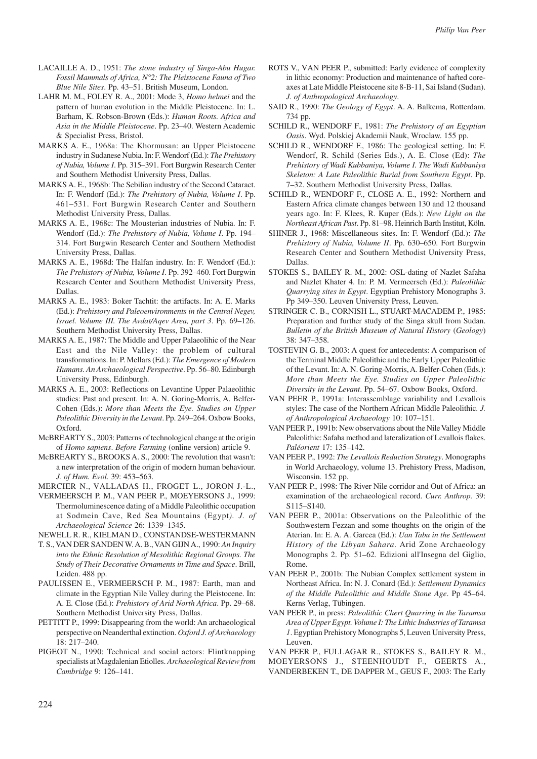- LACAILLE A. D., 1951: *The stone industry of Singa-Abu Hugar. Fossil Mammals of Africa, N°2: The Pleistocene Fauna of Two Blue Nile Sites*. Pp. 43–51. British Museum, London.
- LAHR M. M., FOLEY R. A., 2001: Mode 3, *Homo helmei* and the pattern of human evolution in the Middle Pleistocene. In: L. Barham, K. Robson-Brown (Eds.): *Human Roots. Africa and Asia in the Middle Pleistocene*. Pp. 23–40. Western Academic & Specialist Press, Bristol.
- MARKS A. E., 1968a: The Khormusan: an Upper Pleistocene industry in Sudanese Nubia. In: F. Wendorf (Ed.): *The Prehistory of Nubia, Volume I*. Pp. 315–391. Fort Burgwin Research Center and Southern Methodist University Press, Dallas.
- MARKS A. E., 1968b: The Sebilian industry of the Second Cataract. In: F. Wendorf (Ed.): *The Prehistory of Nubia, Volume I*. Pp. 461–531. Fort Burgwin Research Center and Southern Methodist University Press, Dallas.
- MARKS A. E., 1968c: The Mousterian industries of Nubia. In: F. Wendorf (Ed.): *The Prehistory of Nubia, Volume I*. Pp. 194– 314. Fort Burgwin Research Center and Southern Methodist University Press, Dallas.
- MARKS A. E., 1968d: The Halfan industry. In: F. Wendorf (Ed.): *The Prehistory of Nubia, Volume I*. Pp. 392–460. Fort Burgwin Research Center and Southern Methodist University Press, Dallas.
- MARKS A. E., 1983: Boker Tachtit: the artifacts. In: A. E. Marks (Ed.): *Prehistory and Paleoenvironments in the Central Negev, Israel. Volume III. The Avdat/Aqev Area, part 3*. Pp. 69–126. Southern Methodist University Press, Dallas.
- MARKS A. E., 1987: The Middle and Upper Palaeolihic of the Near East and the Nile Valley: the problem of cultural transformations. In: P. Mellars (Ed.): *The Emergence of Modern Humans. An Archaeological Perspective*. Pp. 56–80. Edinburgh University Press, Edinburgh.
- MARKS A. E., 2003: Reflections on Levantine Upper Palaeolithic studies: Past and present. In: A. N. Goring-Morris, A. Belfer-Cohen (Eds.): *More than Meets the Eye. Studies on Upper Paleolithic Diversity in the Levant*. Pp. 249–264. Oxbow Books, Oxford.
- McBREARTY S., 2003: Patterns of technological change at the origin of *Homo sapiens*. *Before Farming* (online version) article 9.
- McBREARTY S., BROOKS A. S., 2000: The revolution that wasn't: a new interpretation of the origin of modern human behaviour. *J. of Hum. Evol.* 39: 453–563.
- MERCIER N., VALLADAS H., FROGET L., JORON J.-L.,
- VERMEERSCH P. M., VAN PEER P., MOEYERSONS J., 1999: Thermoluminescence dating of a Middle Paleolithic occupation at Sodmein Cave, Red Sea Mountains (Egypt*). J. of Archaeological Science* 26: 1339–1345.
- NEWELL R. R., KIELMAN D., CONSTANDSE-WESTERMANN
- T. S., VAN DER SANDEN W. A. B., VAN GIJN A., 1990: *An Inquiry into the Ethnic Resolution of Mesolithic Regional Groups. The Study of Their Decorative Ornaments in Time and Space*. Brill, Leiden. 488 pp.
- PAULISSEN E., VERMEERSCH P. M., 1987: Earth, man and climate in the Egyptian Nile Valley during the Pleistocene. In: A. E. Close (Ed.): *Prehistory of Arid North Africa*. Pp. 29–68. Southern Methodist University Press, Dallas.
- PETTITT P., 1999: Disappearing from the world: An archaeological perspective on Neanderthal extinction. *Oxford J. of Archaeology* 18: 217–240.
- PIGEOT N., 1990: Technical and social actors: Flintknapping specialists at Magdalenian Etiolles. *Archaeological Review from Cambridge* 9: 126–141.
- ROTS V., VAN PEER P., submitted: Early evidence of complexity in lithic economy: Production and maintenance of hafted coreaxes at Late Middle Pleistocene site 8-B-11, Sai Island (Sudan). *J. of Anthropological Archaeology*.
- SAID R., 1990: *The Geology of Egypt*. A. A. Balkema, Rotterdam. 734 pp.
- SCHILD R., WENDORF F., 1981: *The Prehistory of an Egyptian Oasis*. Wyd. Polskiej Akademii Nauk, Wroclaw. 155 pp.
- SCHILD R., WENDORF F., 1986: The geological setting. In: F. Wendorf, R. Schild (Series Eds.), A. E. Close (Ed): *The Prehistory of Wadi Kubbaniya, Volume I. The Wadi Kubbaniya Skeleton: A Late Paleolithic Burial from Southern Egypt*. Pp. 7–32. Southern Methodist University Press, Dallas.
- SCHILD R., WENDORF F., CLOSE A. E., 1992: Northern and Eastern Africa climate changes between 130 and 12 thousand years ago. In: F. Klees, R. Kuper (Eds.): *New Light on the Northeast African Past*. Pp. 81–98. Heinrich Barth Institut, Köln.
- SHINER J., 1968: Miscellaneous sites. In: F. Wendorf (Ed.): *The Prehistory of Nubia, Volume II*. Pp. 630–650. Fort Burgwin Research Center and Southern Methodist University Press, Dallas.
- STOKES S., BAILEY R. M., 2002: OSL-dating of Nazlet Safaha and Nazlet Khater 4. In: P. M. Vermeersch (Ed.): *Paleolithic Quarrying sites in Egypt*. Egyptian Prehistory Monographs 3. Pp 349–350. Leuven University Press, Leuven.
- STRINGER C. B., CORNISH L., STUART-MACADEM P., 1985: Preparation and further study of the Singa skull from Sudan. *Bulletin of the British Museum of Natural History* (*Geology*) 38: 347–358.
- TOSTEVIN G. B., 2003: A quest for antecedents: A comparison of the Terminal Middle Paleolithic and the Early Upper Paleolithic of the Levant. In: A. N. Goring-Morris, A. Belfer-Cohen (Eds.): *More than Meets the Eye. Studies on Upper Paleolithic Diversity in the Levant*. Pp. 54–67. Oxbow Books, Oxford.
- VAN PEER P., 1991a: Interassemblage variability and Levallois styles: The case of the Northern African Middle Paleolithic*. J. of Anthropological Archaeology* 10: 107–151.
- VAN PEER P., 1991b: New observations about the Nile Valley Middle Paleolithic: Safaha method and lateralization of Levallois flakes. *Paléorient* 17: 135–142.
- VAN PEER P., 1992: *The Levallois Reduction Strategy*. Monographs in World Archaeology, volume 13. Prehistory Press, Madison, Wisconsin. 152 pp.
- VAN PEER P., 1998: The River Nile corridor and Out of Africa: an examination of the archaeological record. *Curr. Anthrop.* 39: S115–S140.
- VAN PEER P., 2001a: Observations on the Paleolithic of the Southwestern Fezzan and some thoughts on the origin of the Aterian. In: E. A. A. Garcea (Ed.): *Uan Tabu in the Settlement History of the Libyan Sahara*. Arid Zone Archaeology Monographs 2. Pp. 51–62. Edizioni all'Insegna del Giglio, Rome.
- VAN PEER P., 2001b: The Nubian Complex settlement system in Northeast Africa. In: N. J. Conard (Ed.): *Settlement Dynamics of the Middle Paleolithic and Middle Stone Age*. Pp 45–64. Kerns Verlag, Tübingen.
- VAN PEER P., in press: *Paleolithic Chert Quarring in the Taramsa Area of Upper Egypt. Volume I: The Lithic Industries of Taramsa 1*. Egyptian Prehistory Monographs 5, Leuven University Press, Leuven.

VAN PEER P., FULLAGAR R., STOKES S., BAILEY R. M., MOEYERSONS J., STEENHOUDT F., GEERTS A., VANDERBEKEN T., DE DAPPER M., GEUS F., 2003: The Early